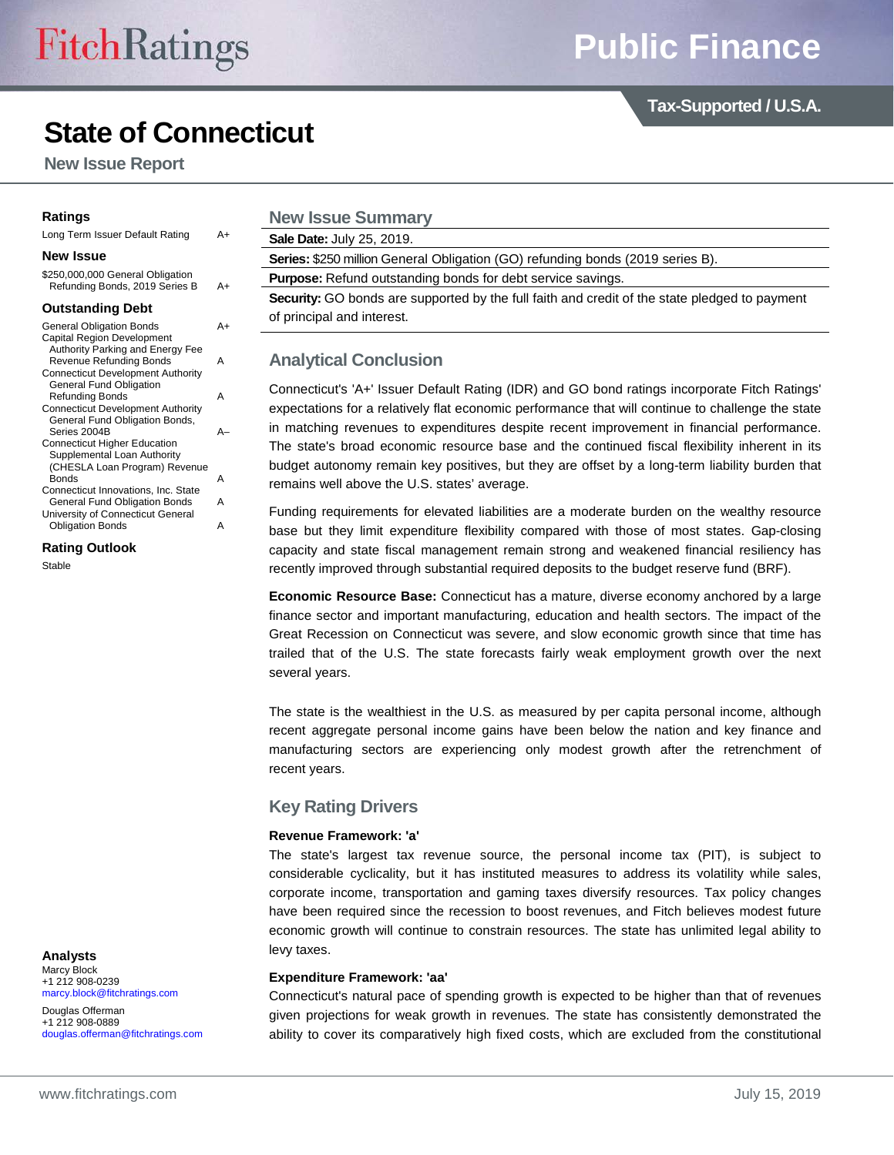# **State of Connecticut**

**New Issue Report**

Long Term Issuer Default Rating A+

#### **New Issue**

\$250,000,000 General Obligation Refunding Bonds, 2019 Series B A+

#### **Outstanding Debt**

General Obligation Bonds A+ Capital Region Development Authority Parking and Energy Fee Revenue Refunding Bonds A Connecticut Development Authority General Fund Obligation Refunding Bonds A Connecticut Development Authority General Fund Obligation Bonds, Series 2004B A– Connecticut Higher Education Supplemental Loan Authority (CHESLA Loan Program) Revenue Bonds A Connecticut Innovations, Inc. State General Fund Obligation Bonds A

University of Connecticut General Obligation Bonds **A** 

**Rating Outlook** Stable

**New Issue Summary Sale Date:** July 25, 2019.

**Series:** \$250 million General Obligation (GO) refunding bonds (2019 series B).

**Purpose:** Refund outstanding bonds for debt service savings.

**Security:** GO bonds are supported by the full faith and credit of the state pledged to payment of principal and interest.

# **Analytical Conclusion**

Connecticut's 'A+' Issuer Default Rating (IDR) and GO bond ratings incorporate Fitch Ratings' expectations for a relatively flat economic performance that will continue to challenge the state in matching revenues to expenditures despite recent improvement in financial performance. The state's broad economic resource base and the continued fiscal flexibility inherent in its budget autonomy remain key positives, but they are offset by a long-term liability burden that remains well above the U.S. states' average.

Funding requirements for elevated liabilities are a moderate burden on the wealthy resource base but they limit expenditure flexibility compared with those of most states. Gap-closing capacity and state fiscal management remain strong and weakened financial resiliency has recently improved through substantial required deposits to the budget reserve fund (BRF).

**Economic Resource Base:** Connecticut has a mature, diverse economy anchored by a large finance sector and important manufacturing, education and health sectors. The impact of the Great Recession on Connecticut was severe, and slow economic growth since that time has trailed that of the U.S. The state forecasts fairly weak employment growth over the next several years.

The state is the wealthiest in the U.S. as measured by per capita personal income, although recent aggregate personal income gains have been below the nation and key finance and manufacturing sectors are experiencing only modest growth after the retrenchment of recent years.

# **Key Rating Drivers**

# **Revenue Framework: 'a'**

The state's largest tax revenue source, the personal income tax (PIT), is subject to considerable cyclicality, but it has instituted measures to address its volatility while sales, corporate income, transportation and gaming taxes diversify resources. Tax policy changes have been required since the recession to boost revenues, and Fitch believes modest future economic growth will continue to constrain resources. The state has unlimited legal ability to levy taxes.

#### **Expenditure Framework: 'aa'**

Connecticut's natural pace of spending growth is expected to be higher than that of revenues given projections for weak growth in revenues. The state has consistently demonstrated the ability to cover its comparatively high fixed costs, which are excluded from the constitutional

**Analysts** Marcy Block +1 212 908-0239 [marcy.block@fitchratings.com](mailto:marcy.block@fitchratings.com)

Douglas Offerman +1 212 908-0889 [douglas.offerman@fitchratings.com](mailto:douglas.offerman@fitchratings.com) **Tax-Supported / U.S.A.**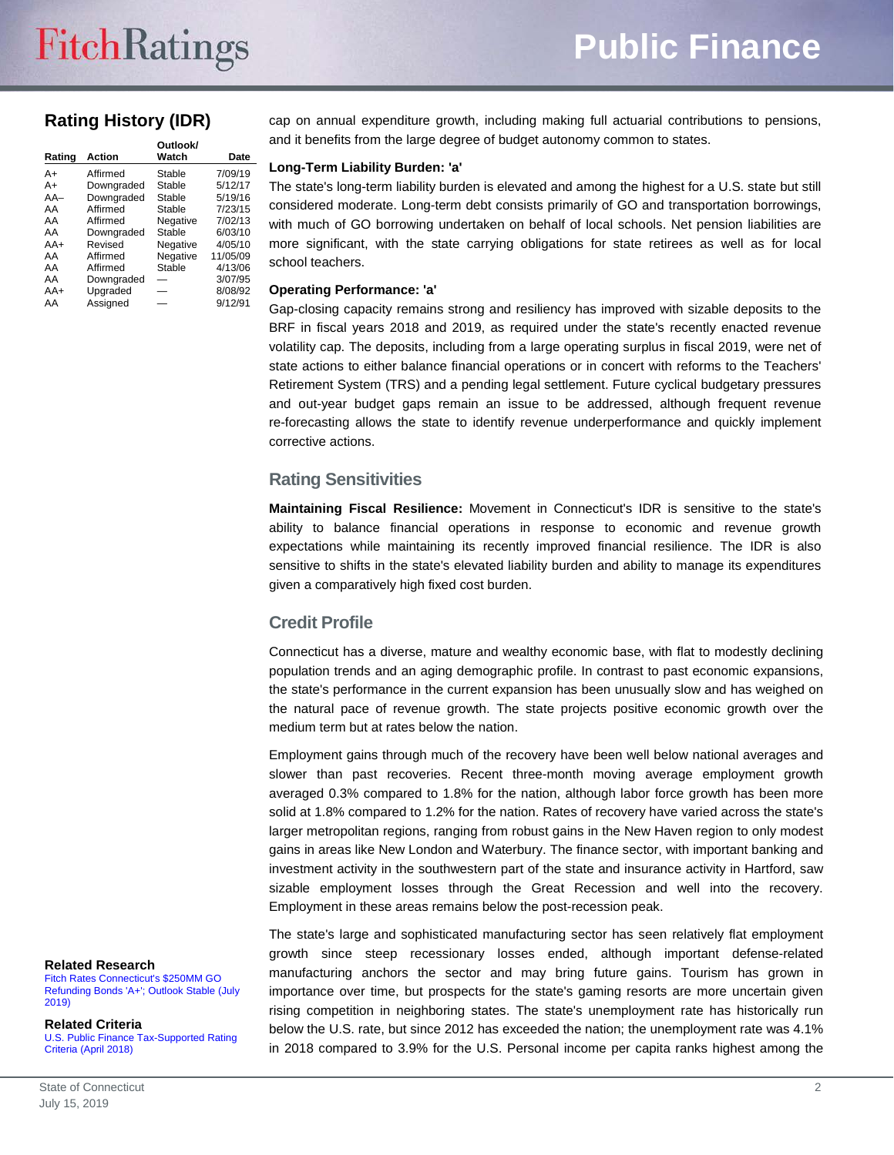# **Rating History (IDR)**

| Rating | Action     | Outlook/<br>Watch | Date     |
|--------|------------|-------------------|----------|
| $A+$   | Affirmed   | Stable            | 7/09/19  |
| A+     | Downgraded | Stable            | 5/12/17  |
| $AA-$  | Downgraded | Stable            | 5/19/16  |
| AA     | Affirmed   | Stable            | 7/23/15  |
| AA     | Affirmed   | Negative          | 7/02/13  |
| AA     | Downgraded | Stable            | 6/03/10  |
| $AA+$  | Revised    | Negative          | 4/05/10  |
| AA     | Affirmed   | Negative          | 11/05/09 |
| AA     | Affirmed   | Stable            | 4/13/06  |
| AA     | Downgraded |                   | 3/07/95  |
| $AA+$  | Upgraded   |                   | 8/08/92  |
| AA     | Assigned   |                   | 9/12/91  |

cap on annual expenditure growth, including making full actuarial contributions to pensions, and it benefits from the large degree of budget autonomy common to states.

# **Long-Term Liability Burden: 'a'**

The state's long-term liability burden is elevated and among the highest for a U.S. state but still considered moderate. Long-term debt consists primarily of GO and transportation borrowings, with much of GO borrowing undertaken on behalf of local schools. Net pension liabilities are more significant, with the state carrying obligations for state retirees as well as for local school teachers.

# **Operating Performance: 'a'**

Gap-closing capacity remains strong and resiliency has improved with sizable deposits to the BRF in fiscal years 2018 and 2019, as required under the state's recently enacted revenue volatility cap. The deposits, including from a large operating surplus in fiscal 2019, were net of state actions to either balance financial operations or in concert with reforms to the Teachers' Retirement System (TRS) and a pending legal settlement. Future cyclical budgetary pressures and out-year budget gaps remain an issue to be addressed, although frequent revenue re-forecasting allows the state to identify revenue underperformance and quickly implement corrective actions.

# **Rating Sensitivities**

**Maintaining Fiscal Resilience:** Movement in Connecticut's IDR is sensitive to the state's ability to balance financial operations in response to economic and revenue growth expectations while maintaining its recently improved financial resilience. The IDR is also sensitive to shifts in the state's elevated liability burden and ability to manage its expenditures given a comparatively high fixed cost burden.

# **Credit Profile**

Connecticut has a diverse, mature and wealthy economic base, with flat to modestly declining population trends and an aging demographic profile. In contrast to past economic expansions, the state's performance in the current expansion has been unusually slow and has weighed on the natural pace of revenue growth. The state projects positive economic growth over the medium term but at rates below the nation.

Employment gains through much of the recovery have been well below national averages and slower than past recoveries. Recent three-month moving average employment growth averaged 0.3% compared to 1.8% for the nation, although labor force growth has been more solid at 1.8% compared to 1.2% for the nation. Rates of recovery have varied across the state's larger metropolitan regions, ranging from robust gains in the New Haven region to only modest gains in areas like New London and Waterbury. The finance sector, with important banking and investment activity in the southwestern part of the state and insurance activity in Hartford, saw sizable employment losses through the Great Recession and well into the recovery. Employment in these areas remains below the post-recession peak.

#### **Related Research**

[Fitch Rates Connecticut's \\$250MM GO](http://api.fitchconnect.com/v1/research/FR_PR_10080337)  [Refunding Bonds 'A+'; Outlook Stable \(July](http://api.fitchconnect.com/v1/research/FR_PR_10080337)  [2019\)](http://api.fitchconnect.com/v1/research/FR_PR_10080337)

**Related Criteria**

[U.S. Public Finance Tax-Supported Rating](http://api.fitchconnect.com/v1/research/FR_RPT_10024656)  [Criteria \(April 2018\)](http://api.fitchconnect.com/v1/research/FR_RPT_10024656)

The state's large and sophisticated manufacturing sector has seen relatively flat employment growth since steep recessionary losses ended, although important defense-related manufacturing anchors the sector and may bring future gains. Tourism has grown in importance over time, but prospects for the state's gaming resorts are more uncertain given rising competition in neighboring states. The state's unemployment rate has historically run below the U.S. rate, but since 2012 has exceeded the nation; the unemployment rate was 4.1% in 2018 compared to 3.9% for the U.S. Personal income per capita ranks highest among the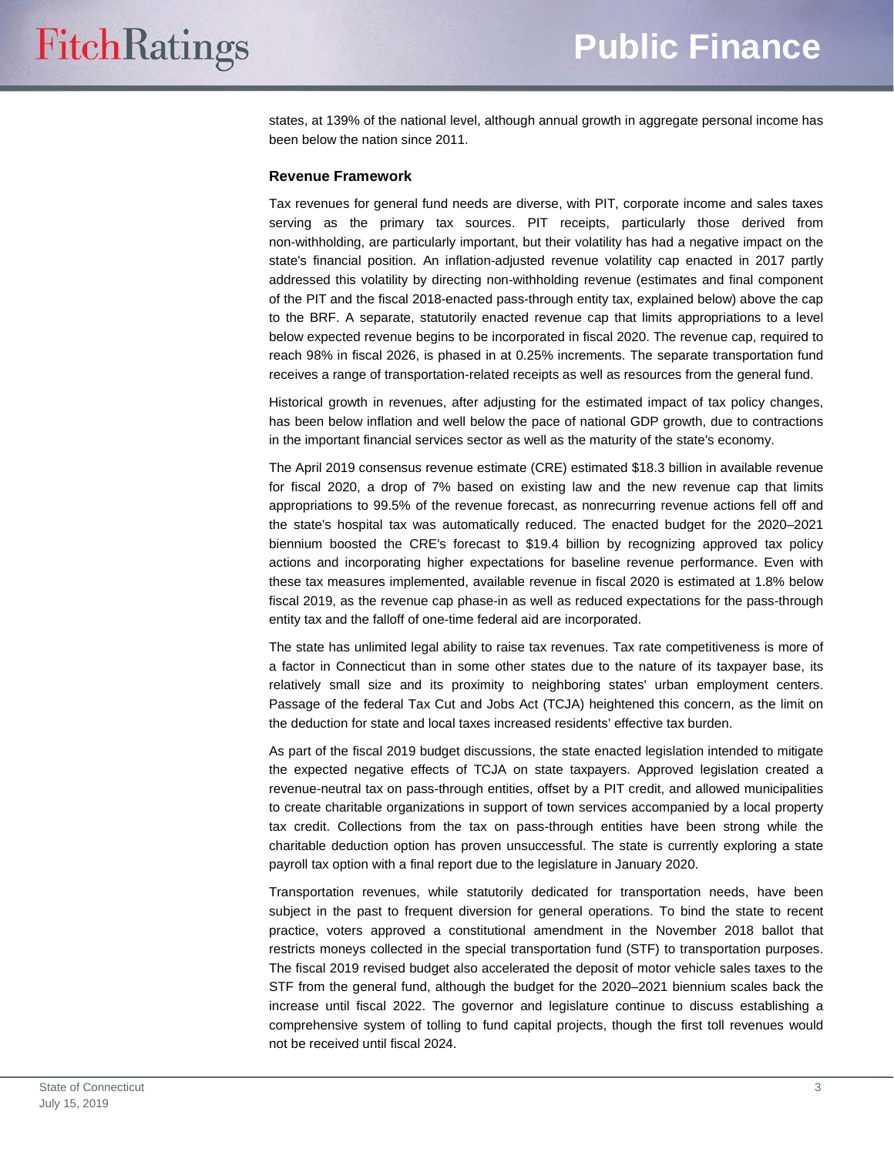states, at 139% of the national level, although annual growth in aggregate personal income has been below the nation since 2011.

### **Revenue Framework**

Tax revenues for general fund needs are diverse, with PIT, corporate income and sales taxes serving as the primary tax sources. PIT receipts, particularly those derived from non-withholding, are particularly important, but their volatility has had a negative impact on the state's financial position. An inflation-adjusted revenue volatility cap enacted in 2017 partly addressed this volatility by directing non-withholding revenue (estimates and final component of the PIT and the fiscal 2018-enacted pass-through entity tax, explained below) above the cap to the BRF. A separate, statutorily enacted revenue cap that limits appropriations to a level below expected revenue begins to be incorporated in fiscal 2020. The revenue cap, required to reach 98% in fiscal 2026, is phased in at 0.25% increments. The separate transportation fund receives a range of transportation-related receipts as well as resources from the general fund.

Historical growth in revenues, after adjusting for the estimated impact of tax policy changes, has been below inflation and well below the pace of national GDP growth, due to contractions in the important financial services sector as well as the maturity of the state's economy.

The April 2019 consensus revenue estimate (CRE) estimated \$18.3 billion in available revenue for fiscal 2020, a drop of 7% based on existing law and the new revenue cap that limits appropriations to 99.5% of the revenue forecast, as nonrecurring revenue actions fell off and the state's hospital tax was automatically reduced. The enacted budget for the 2020–2021 biennium boosted the CRE's forecast to \$19.4 billion by recognizing approved tax policy actions and incorporating higher expectations for baseline revenue performance. Even with these tax measures implemented, available revenue in fiscal 2020 is estimated at 1.8% below fiscal 2019, as the revenue cap phase-in as well as reduced expectations for the pass-through entity tax and the falloff of one-time federal aid are incorporated.

The state has unlimited legal ability to raise tax revenues. Tax rate competitiveness is more of a factor in Connecticut than in some other states due to the nature of its taxpayer base, its relatively small size and its proximity to neighboring states' urban employment centers. Passage of the federal Tax Cut and Jobs Act (TCJA) heightened this concern, as the limit on the deduction for state and local taxes increased residents' effective tax burden.

As part of the fiscal 2019 budget discussions, the state enacted legislation intended to mitigate the expected negative effects of TCJA on state taxpayers. Approved legislation created a revenue-neutral tax on pass-through entities, offset by a PIT credit, and allowed municipalities to create charitable organizations in support of town services accompanied by a local property tax credit. Collections from the tax on pass-through entities have been strong while the charitable deduction option has proven unsuccessful. The state is currently exploring a state payroll tax option with a final report due to the legislature in January 2020.

Transportation revenues, while statutorily dedicated for transportation needs, have been subject in the past to frequent diversion for general operations. To bind the state to recent practice, voters approved a constitutional amendment in the November 2018 ballot that restricts moneys collected in the special transportation fund (STF) to transportation purposes. The fiscal 2019 revised budget also accelerated the deposit of motor vehicle sales taxes to the STF from the general fund, although the budget for the 2020–2021 biennium scales back the increase until fiscal 2022. The governor and legislature continue to discuss establishing a comprehensive system of tolling to fund capital projects, though the first toll revenues would not be received until fiscal 2024.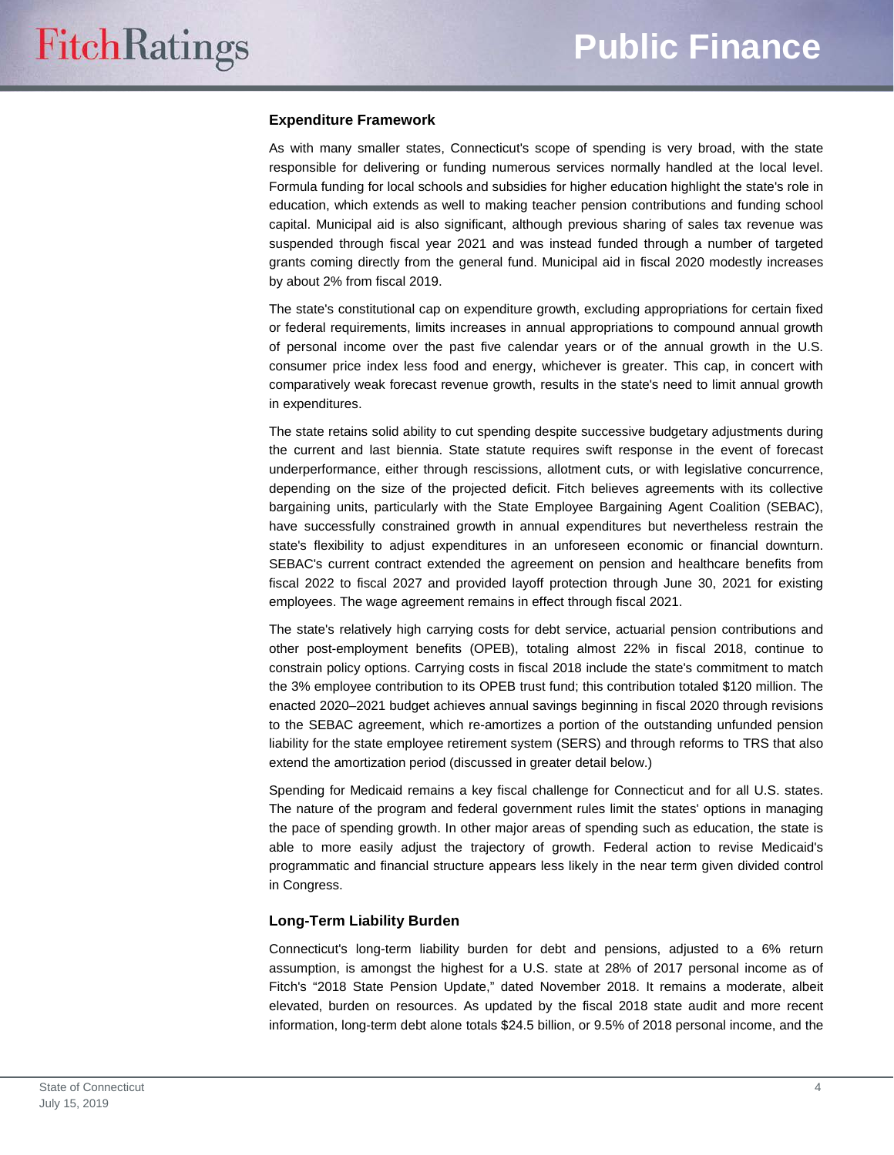# **Expenditure Framework**

As with many smaller states, Connecticut's scope of spending is very broad, with the state responsible for delivering or funding numerous services normally handled at the local level. Formula funding for local schools and subsidies for higher education highlight the state's role in education, which extends as well to making teacher pension contributions and funding school capital. Municipal aid is also significant, although previous sharing of sales tax revenue was suspended through fiscal year 2021 and was instead funded through a number of targeted grants coming directly from the general fund. Municipal aid in fiscal 2020 modestly increases by about 2% from fiscal 2019.

The state's constitutional cap on expenditure growth, excluding appropriations for certain fixed or federal requirements, limits increases in annual appropriations to compound annual growth of personal income over the past five calendar years or of the annual growth in the U.S. consumer price index less food and energy, whichever is greater. This cap, in concert with comparatively weak forecast revenue growth, results in the state's need to limit annual growth in expenditures.

The state retains solid ability to cut spending despite successive budgetary adjustments during the current and last biennia. State statute requires swift response in the event of forecast underperformance, either through rescissions, allotment cuts, or with legislative concurrence, depending on the size of the projected deficit. Fitch believes agreements with its collective bargaining units, particularly with the State Employee Bargaining Agent Coalition (SEBAC), have successfully constrained growth in annual expenditures but nevertheless restrain the state's flexibility to adjust expenditures in an unforeseen economic or financial downturn. SEBAC's current contract extended the agreement on pension and healthcare benefits from fiscal 2022 to fiscal 2027 and provided layoff protection through June 30, 2021 for existing employees. The wage agreement remains in effect through fiscal 2021.

The state's relatively high carrying costs for debt service, actuarial pension contributions and other post-employment benefits (OPEB), totaling almost 22% in fiscal 2018, continue to constrain policy options. Carrying costs in fiscal 2018 include the state's commitment to match the 3% employee contribution to its OPEB trust fund; this contribution totaled \$120 million. The enacted 2020–2021 budget achieves annual savings beginning in fiscal 2020 through revisions to the SEBAC agreement, which re-amortizes a portion of the outstanding unfunded pension liability for the state employee retirement system (SERS) and through reforms to TRS that also extend the amortization period (discussed in greater detail below.)

Spending for Medicaid remains a key fiscal challenge for Connecticut and for all U.S. states. The nature of the program and federal government rules limit the states' options in managing the pace of spending growth. In other major areas of spending such as education, the state is able to more easily adjust the trajectory of growth. Federal action to revise Medicaid's programmatic and financial structure appears less likely in the near term given divided control in Congress.

# **Long-Term Liability Burden**

Connecticut's long-term liability burden for debt and pensions, adjusted to a 6% return assumption, is amongst the highest for a U.S. state at 28% of 2017 personal income as of Fitch's "2018 State Pension Update," dated November 2018. It remains a moderate, albeit elevated, burden on resources. As updated by the fiscal 2018 state audit and more recent information, long-term debt alone totals \$24.5 billion, or 9.5% of 2018 personal income, and the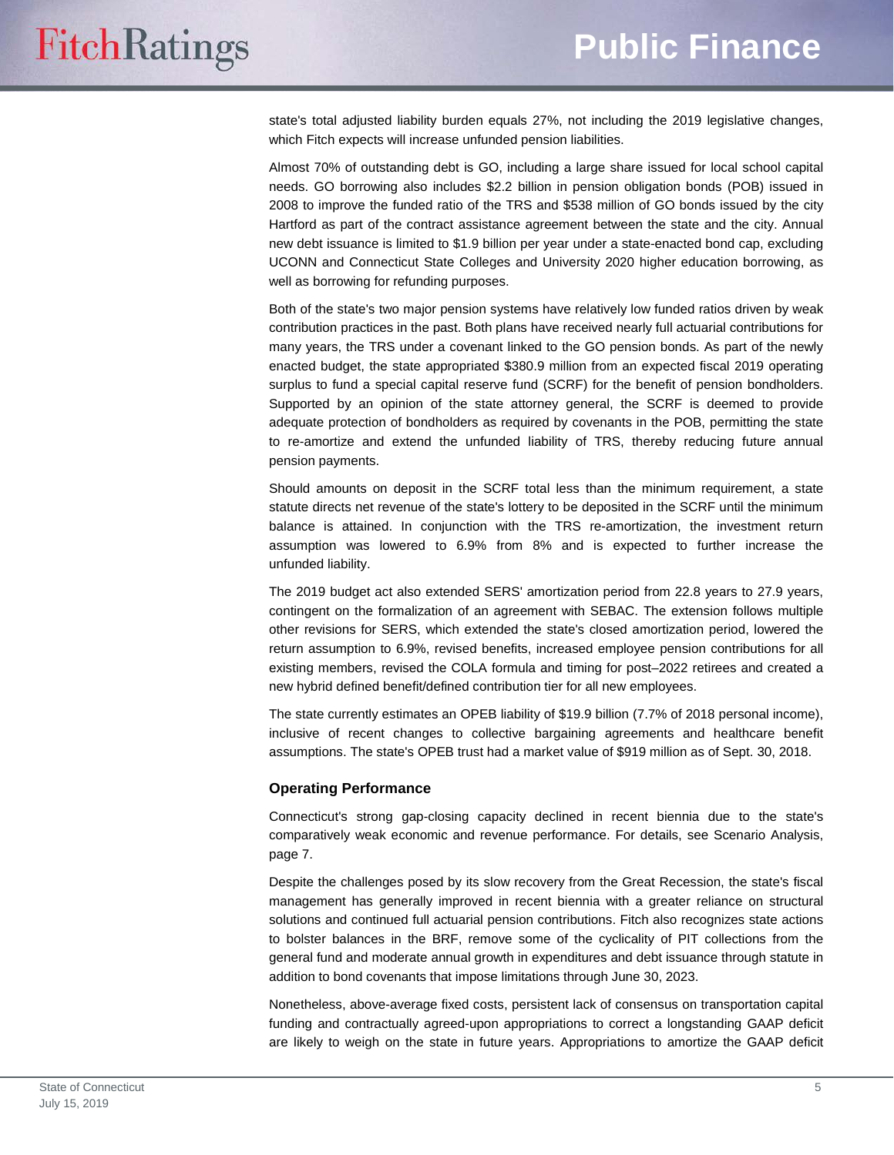state's total adjusted liability burden equals 27%, not including the 2019 legislative changes, which Fitch expects will increase unfunded pension liabilities.

Almost 70% of outstanding debt is GO, including a large share issued for local school capital needs. GO borrowing also includes \$2.2 billion in pension obligation bonds (POB) issued in 2008 to improve the funded ratio of the TRS and \$538 million of GO bonds issued by the city Hartford as part of the contract assistance agreement between the state and the city. Annual new debt issuance is limited to \$1.9 billion per year under a state-enacted bond cap, excluding UCONN and Connecticut State Colleges and University 2020 higher education borrowing, as well as borrowing for refunding purposes.

Both of the state's two major pension systems have relatively low funded ratios driven by weak contribution practices in the past. Both plans have received nearly full actuarial contributions for many years, the TRS under a covenant linked to the GO pension bonds. As part of the newly enacted budget, the state appropriated \$380.9 million from an expected fiscal 2019 operating surplus to fund a special capital reserve fund (SCRF) for the benefit of pension bondholders. Supported by an opinion of the state attorney general, the SCRF is deemed to provide adequate protection of bondholders as required by covenants in the POB, permitting the state to re-amortize and extend the unfunded liability of TRS, thereby reducing future annual pension payments.

Should amounts on deposit in the SCRF total less than the minimum requirement, a state statute directs net revenue of the state's lottery to be deposited in the SCRF until the minimum balance is attained. In conjunction with the TRS re-amortization, the investment return assumption was lowered to 6.9% from 8% and is expected to further increase the unfunded liability.

The 2019 budget act also extended SERS' amortization period from 22.8 years to 27.9 years, contingent on the formalization of an agreement with SEBAC. The extension follows multiple other revisions for SERS, which extended the state's closed amortization period, lowered the return assumption to 6.9%, revised benefits, increased employee pension contributions for all existing members, revised the COLA formula and timing for post–2022 retirees and created a new hybrid defined benefit/defined contribution tier for all new employees.

The state currently estimates an OPEB liability of \$19.9 billion (7.7% of 2018 personal income), inclusive of recent changes to collective bargaining agreements and healthcare benefit assumptions. The state's OPEB trust had a market value of \$919 million as of Sept. 30, 2018.

#### **Operating Performance**

Connecticut's strong gap-closing capacity declined in recent biennia due to the state's comparatively weak economic and revenue performance. For details, see Scenario Analysis, page 7.

Despite the challenges posed by its slow recovery from the Great Recession, the state's fiscal management has generally improved in recent biennia with a greater reliance on structural solutions and continued full actuarial pension contributions. Fitch also recognizes state actions to bolster balances in the BRF, remove some of the cyclicality of PIT collections from the general fund and moderate annual growth in expenditures and debt issuance through statute in addition to bond covenants that impose limitations through June 30, 2023.

Nonetheless, above-average fixed costs, persistent lack of consensus on transportation capital funding and contractually agreed-upon appropriations to correct a longstanding GAAP deficit are likely to weigh on the state in future years. Appropriations to amortize the GAAP deficit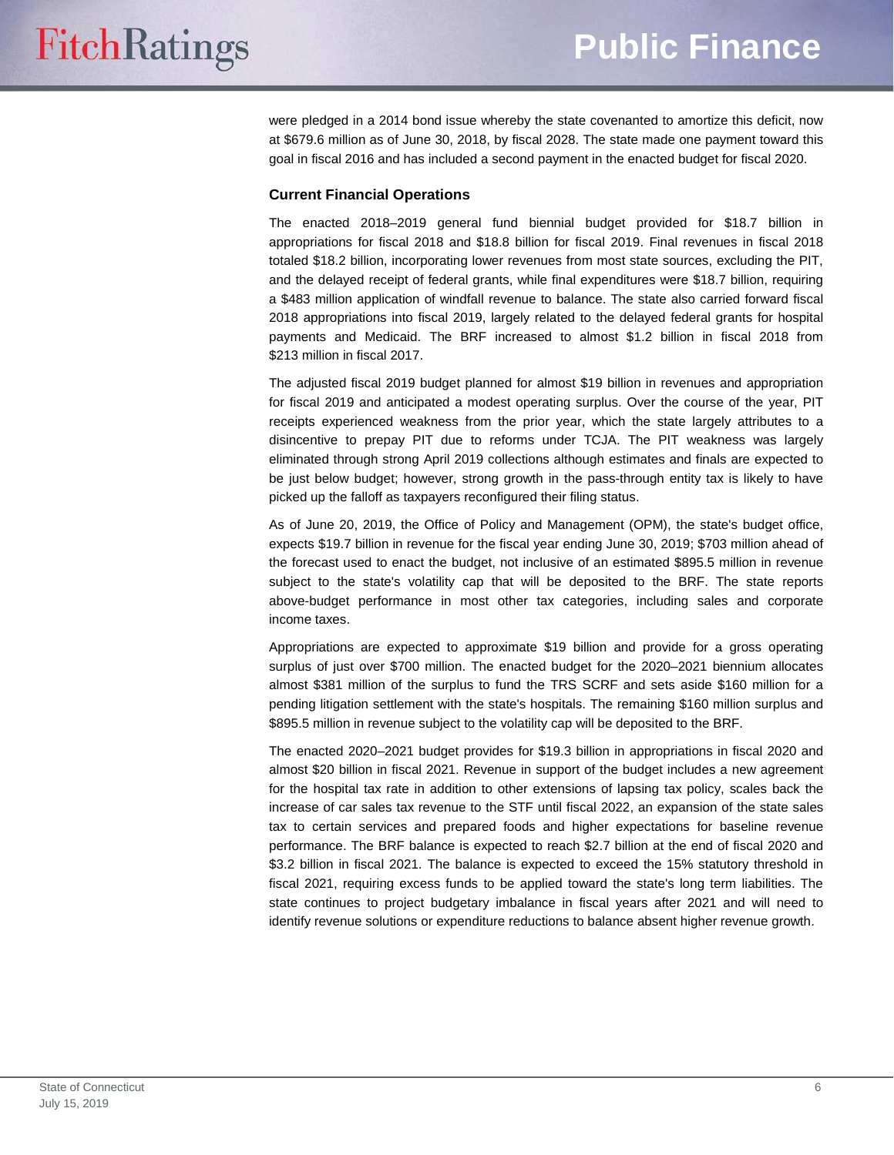were pledged in a 2014 bond issue whereby the state covenanted to amortize this deficit, now at \$679.6 million as of June 30, 2018, by fiscal 2028. The state made one payment toward this goal in fiscal 2016 and has included a second payment in the enacted budget for fiscal 2020.

# **Current Financial Operations**

The enacted 2018–2019 general fund biennial budget provided for \$18.7 billion in appropriations for fiscal 2018 and \$18.8 billion for fiscal 2019. Final revenues in fiscal 2018 totaled \$18.2 billion, incorporating lower revenues from most state sources, excluding the PIT, and the delayed receipt of federal grants, while final expenditures were \$18.7 billion, requiring a \$483 million application of windfall revenue to balance. The state also carried forward fiscal 2018 appropriations into fiscal 2019, largely related to the delayed federal grants for hospital payments and Medicaid. The BRF increased to almost \$1.2 billion in fiscal 2018 from \$213 million in fiscal 2017.

The adjusted fiscal 2019 budget planned for almost \$19 billion in revenues and appropriation for fiscal 2019 and anticipated a modest operating surplus. Over the course of the year, PIT receipts experienced weakness from the prior year, which the state largely attributes to a disincentive to prepay PIT due to reforms under TCJA. The PIT weakness was largely eliminated through strong April 2019 collections although estimates and finals are expected to be just below budget; however, strong growth in the pass-through entity tax is likely to have picked up the falloff as taxpayers reconfigured their filing status.

As of June 20, 2019, the Office of Policy and Management (OPM), the state's budget office, expects \$19.7 billion in revenue for the fiscal year ending June 30, 2019; \$703 million ahead of the forecast used to enact the budget, not inclusive of an estimated \$895.5 million in revenue subject to the state's volatility cap that will be deposited to the BRF. The state reports above-budget performance in most other tax categories, including sales and corporate income taxes.

Appropriations are expected to approximate \$19 billion and provide for a gross operating surplus of just over \$700 million. The enacted budget for the 2020–2021 biennium allocates almost \$381 million of the surplus to fund the TRS SCRF and sets aside \$160 million for a pending litigation settlement with the state's hospitals. The remaining \$160 million surplus and \$895.5 million in revenue subject to the volatility cap will be deposited to the BRF.

The enacted 2020–2021 budget provides for \$19.3 billion in appropriations in fiscal 2020 and almost \$20 billion in fiscal 2021. Revenue in support of the budget includes a new agreement for the hospital tax rate in addition to other extensions of lapsing tax policy, scales back the increase of car sales tax revenue to the STF until fiscal 2022, an expansion of the state sales tax to certain services and prepared foods and higher expectations for baseline revenue performance. The BRF balance is expected to reach \$2.7 billion at the end of fiscal 2020 and \$3.2 billion in fiscal 2021. The balance is expected to exceed the 15% statutory threshold in fiscal 2021, requiring excess funds to be applied toward the state's long term liabilities. The state continues to project budgetary imbalance in fiscal years after 2021 and will need to identify revenue solutions or expenditure reductions to balance absent higher revenue growth.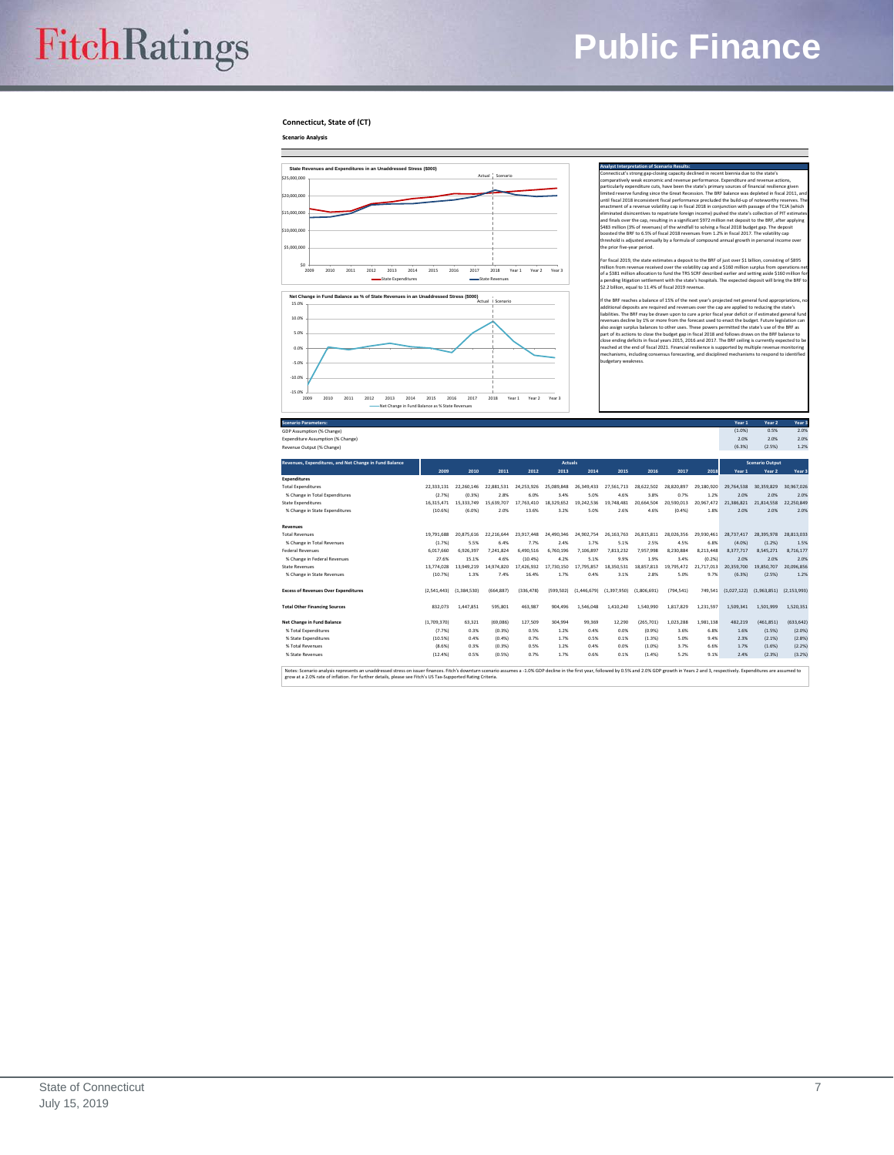# **FitchRatings**

# **Public Finance**

**Connecticut, State of (CT)**